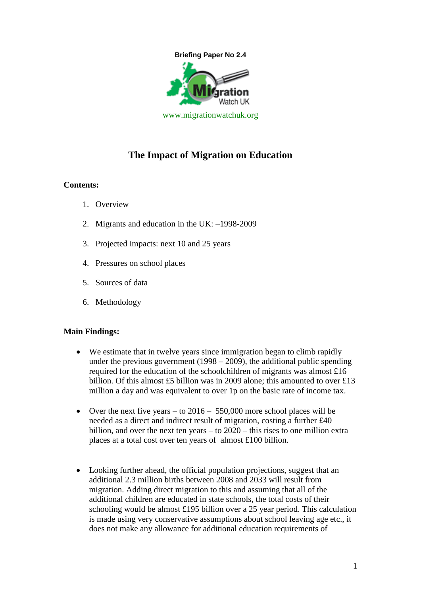

# **The Impact of Migration on Education**

## **Contents:**

- 1. Overview
- 2. Migrants and education in the UK: –1998-2009
- 3. Projected impacts: next 10 and 25 years
- 4. Pressures on school places
- 5. Sources of data
- 6. Methodology

#### **Main Findings:**

- We estimate that in twelve years since immigration began to climb rapidly under the previous government  $(1998 - 2009)$ , the additional public spending required for the education of the schoolchildren of migrants was almost £16 billion. Of this almost £5 billion was in 2009 alone; this amounted to over £13 million a day and was equivalent to over 1p on the basic rate of income tax.
- Over the next five years to  $2016 550,000$  more school places will be needed as a direct and indirect result of migration, costing a further £40 billion, and over the next ten years – to 2020 – this rises to one million extra places at a total cost over ten years of almost £100 billion.
- Looking further ahead, the official population projections, suggest that an additional 2.3 million births between 2008 and 2033 will result from migration. Adding direct migration to this and assuming that all of the additional children are educated in state schools, the total costs of their schooling would be almost £195 billion over a 25 year period. This calculation is made using very conservative assumptions about school leaving age etc., it does not make any allowance for additional education requirements of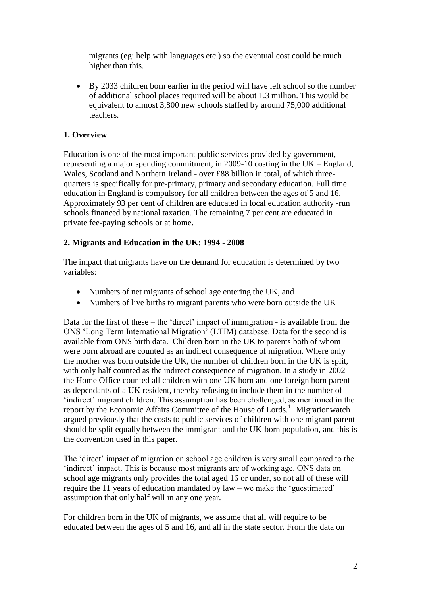migrants (eg: help with languages etc.) so the eventual cost could be much higher than this.

 By 2033 children born earlier in the period will have left school so the number of additional school places required will be about 1.3 million. This would be equivalent to almost 3,800 new schools staffed by around 75,000 additional teachers.

# **1. Overview**

Education is one of the most important public services provided by government, representing a major spending commitment, in 2009-10 costing in the UK – England, Wales, Scotland and Northern Ireland - over £88 billion in total, of which threequarters is specifically for pre-primary, primary and secondary education. Full time education in England is compulsory for all children between the ages of 5 and 16. Approximately 93 per cent of children are educated in local education authority -run schools financed by national taxation. The remaining 7 per cent are educated in private fee-paying schools or at home.

## **2. Migrants and Education in the UK: 1994 - 2008**

The impact that migrants have on the demand for education is determined by two variables:

- Numbers of net migrants of school age entering the UK, and
- Numbers of live births to migrant parents who were born outside the UK

Data for the first of these – the 'direct' impact of immigration - is available from the ONS "Long Term International Migration" (LTIM) database. Data for the second is available from ONS birth data. Children born in the UK to parents both of whom were born abroad are counted as an indirect consequence of migration. Where only the mother was born outside the UK, the number of children born in the UK is split, with only half counted as the indirect consequence of migration. In a study in 2002 the Home Office counted all children with one UK born and one foreign born parent as dependants of a UK resident, thereby refusing to include them in the number of "indirect" migrant children. This assumption has been challenged, as mentioned in the report by the Economic Affairs Committee of the House of Lords.<sup>1</sup> Migrationwatch argued previously that the costs to public services of children with one migrant parent should be split equally between the immigrant and the UK-born population, and this is the convention used in this paper.

The 'direct' impact of migration on school age children is very small compared to the "indirect" impact. This is because most migrants are of working age. ONS data on school age migrants only provides the total aged 16 or under, so not all of these will require the 11 years of education mandated by law – we make the "guestimated" assumption that only half will in any one year.

For children born in the UK of migrants, we assume that all will require to be educated between the ages of 5 and 16, and all in the state sector. From the data on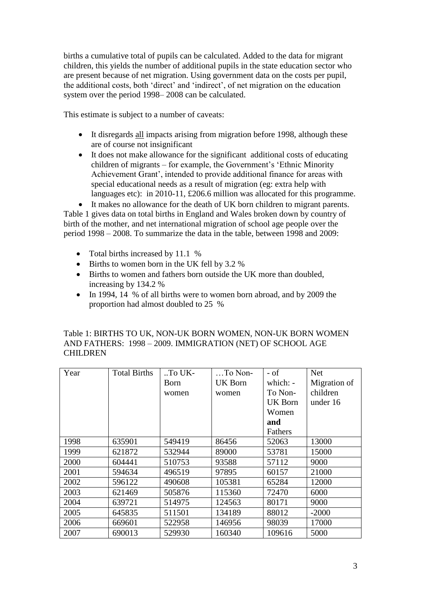births a cumulative total of pupils can be calculated. Added to the data for migrant children, this yields the number of additional pupils in the state education sector who are present because of net migration. Using government data on the costs per pupil, the additional costs, both "direct" and "indirect", of net migration on the education system over the period 1998– 2008 can be calculated.

This estimate is subject to a number of caveats:

- It disregards all impacts arising from migration before 1998, although these are of course not insignificant
- It does not make allowance for the significant additional costs of educating children of migrants – for example, the Government's 'Ethnic Minority Achievement Grant", intended to provide additional finance for areas with special educational needs as a result of migration (eg: extra help with languages etc): in 2010-11, £206.6 million was allocated for this programme.

 It makes no allowance for the death of UK born children to migrant parents. Table 1 gives data on total births in England and Wales broken down by country of birth of the mother, and net international migration of school age people over the period 1998 – 2008. To summarize the data in the table, between 1998 and 2009:

- Total births increased by 11.1 %
- Births to women born in the UK fell by 3.2 %
- Births to women and fathers born outside the UK more than doubled, increasing by 134.2 %
- In 1994, 14 % of all births were to women born abroad, and by 2009 the proportion had almost doubled to 25 %

| Table 1: BIRTHS TO UK, NON-UK BORN WOMEN, NON-UK BORN WOMEN |
|-------------------------------------------------------------|
| AND FATHERS: 1998 - 2009. IMMIGRATION (NET) OF SCHOOL AGE   |
| <b>CHILDREN</b>                                             |

| Year | <b>Total Births</b> | $\cdot$ To UK- | $\ldots$ To Non- | $-$ of         | <b>Net</b>   |
|------|---------------------|----------------|------------------|----------------|--------------|
|      |                     | Born           | UK Born          | which: $-$     | Migration of |
|      |                     | women          | women            | To Non-        | children     |
|      |                     |                |                  | <b>UK Born</b> | under 16     |
|      |                     |                |                  | Women          |              |
|      |                     |                |                  | and            |              |
|      |                     |                |                  | Fathers        |              |
| 1998 | 635901              | 549419         | 86456            | 52063          | 13000        |
| 1999 | 621872              | 532944         | 89000            | 53781          | 15000        |
| 2000 | 604441              | 510753         | 93588            | 57112          | 9000         |
| 2001 | 594634              | 496519         | 97895            | 60157          | 21000        |
| 2002 | 596122              | 490608         | 105381           | 65284          | 12000        |
| 2003 | 621469              | 505876         | 115360           | 72470          | 6000         |
| 2004 | 639721              | 514975         | 124563           | 80171          | 9000         |
| 2005 | 645835              | 511501         | 134189           | 88012          | $-2000$      |
| 2006 | 669601              | 522958         | 146956           | 98039          | 17000        |
| 2007 | 690013              | 529930         | 160340           | 109616         | 5000         |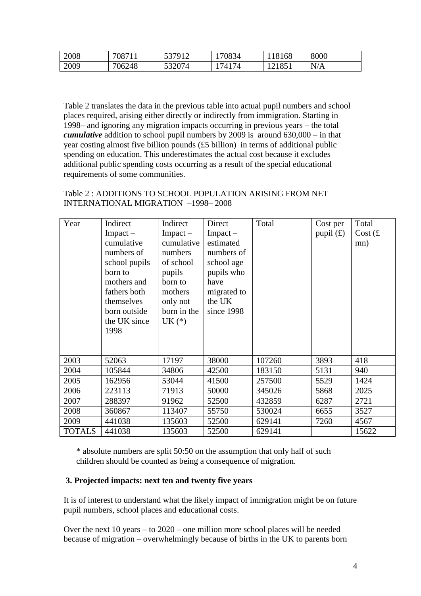| 2008 | 708711 | 537912<br><u>JJI</u> | 70834 | 118168 | 8000 |
|------|--------|----------------------|-------|--------|------|
| 2009 | 706248 | 532074<br>JJZVIT     | 74174 | 121851 | N/A  |

Table 2 translates the data in the previous table into actual pupil numbers and school places required, arising either directly or indirectly from immigration. Starting in 1998– and ignoring any migration impacts occurring in previous years – the total *cumulative* addition to school pupil numbers by 2009 is around 630,000 – in that year costing almost five billion pounds (£5 billion) in terms of additional public spending on education. This underestimates the actual cost because it excludes additional public spending costs occurring as a result of the special educational requirements of some communities.

Table 2 : ADDITIONS TO SCHOOL POPULATION ARISING FROM NET INTERNATIONAL MIGRATION –1998– 2008

| Year          | Indirect      | Indirect      | Direct        | Total  | Cost per    | Total     |
|---------------|---------------|---------------|---------------|--------|-------------|-----------|
|               | $Im$ pact $-$ | $Im$ pact $-$ | $Im$ pact $-$ |        | pupil $(f)$ | Cost $(f$ |
|               | cumulative    | cumulative    | estimated     |        |             | mn)       |
|               | numbers of    | numbers       | numbers of    |        |             |           |
|               | school pupils | of school     | school age    |        |             |           |
|               | born to       | pupils        | pupils who    |        |             |           |
|               | mothers and   | born to       | have          |        |             |           |
|               | fathers both  | mothers       | migrated to   |        |             |           |
|               | themselves    | only not      | the UK        |        |             |           |
|               | born outside  | born in the   | since 1998    |        |             |           |
|               | the UK since  | $UK (*)$      |               |        |             |           |
|               | 1998          |               |               |        |             |           |
|               |               |               |               |        |             |           |
|               |               |               |               |        |             |           |
| 2003          | 52063         | 17197         | 38000         | 107260 | 3893        | 418       |
| 2004          | 105844        | 34806         | 42500         | 183150 | 5131        | 940       |
| 2005          | 162956        | 53044         | 41500         | 257500 | 5529        | 1424      |
| 2006          | 223113        | 71913         | 50000         | 345026 | 5868        | 2025      |
| 2007          | 288397        | 91962         | 52500         | 432859 | 6287        | 2721      |
| 2008          | 360867        | 113407        | 55750         | 530024 | 6655        | 3527      |
| 2009          | 441038        | 135603        | 52500         | 629141 | 7260        | 4567      |
| <b>TOTALS</b> | 441038        | 135603        | 52500         | 629141 |             | 15622     |

\* absolute numbers are split 50:50 on the assumption that only half of such children should be counted as being a consequence of migration.

## **3. Projected impacts: next ten and twenty five years**

It is of interest to understand what the likely impact of immigration might be on future pupil numbers, school places and educational costs.

Over the next 10 years – to 2020 – one million more school places will be needed because of migration – overwhelmingly because of births in the UK to parents born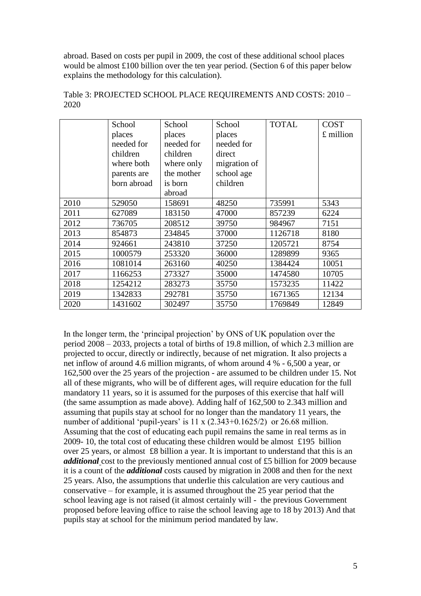abroad. Based on costs per pupil in 2009, the cost of these additional school places would be almost £100 billion over the ten year period. (Section 6 of this paper below explains the methodology for this calculation).

|      | School      | School     | School       | <b>TOTAL</b> | <b>COST</b> |
|------|-------------|------------|--------------|--------------|-------------|
|      | places      | places     | places       |              | £ million   |
|      | needed for  | needed for | needed for   |              |             |
|      | children    | children   | direct       |              |             |
|      | where both  | where only | migration of |              |             |
|      | parents are | the mother | school age   |              |             |
|      | born abroad | is born    | children     |              |             |
|      |             | abroad     |              |              |             |
| 2010 | 529050      | 158691     | 48250        | 735991       | 5343        |
| 2011 | 627089      | 183150     | 47000        | 857239       | 6224        |
| 2012 | 736705      | 208512     | 39750        | 984967       | 7151        |
| 2013 | 854873      | 234845     | 37000        | 1126718      | 8180        |
| 2014 | 924661      | 243810     | 37250        | 1205721      | 8754        |
| 2015 | 1000579     | 253320     | 36000        | 1289899      | 9365        |
| 2016 | 1081014     | 263160     | 40250        | 1384424      | 10051       |
| 2017 | 1166253     | 273327     | 35000        | 1474580      | 10705       |
| 2018 | 1254212     | 283273     | 35750        | 1573235      | 11422       |
| 2019 | 1342833     | 292781     | 35750        | 1671365      | 12134       |
| 2020 | 1431602     | 302497     | 35750        | 1769849      | 12849       |

Table 3: PROJECTED SCHOOL PLACE REQUIREMENTS AND COSTS: 2010 – 2020

In the longer term, the "principal projection" by ONS of UK population over the period 2008 – 2033, projects a total of births of 19.8 million, of which 2.3 million are projected to occur, directly or indirectly, because of net migration. It also projects a net inflow of around 4.6 million migrants, of whom around 4 % - 6,500 a year, or 162,500 over the 25 years of the projection - are assumed to be children under 15. Not all of these migrants, who will be of different ages, will require education for the full mandatory 11 years, so it is assumed for the purposes of this exercise that half will (the same assumption as made above). Adding half of 162,500 to 2.343 million and assuming that pupils stay at school for no longer than the mandatory 11 years, the number of additional 'pupil-years' is  $11 \times (2.343+0.1625/2)$  or  $26.68$  million. Assuming that the cost of educating each pupil remains the same in real terms as in 2009- 10, the total cost of educating these children would be almost £195 billion over 25 years, or almost £8 billion a year. It is important to understand that this is an *additional* cost to the previously mentioned annual cost of £5 billion for 2009 because it is a count of the *additional* costs caused by migration in 2008 and then for the next 25 years. Also, the assumptions that underlie this calculation are very cautious and conservative – for example, it is assumed throughout the 25 year period that the school leaving age is not raised (it almost certainly will - the previous Government proposed before leaving office to raise the school leaving age to 18 by 2013) And that pupils stay at school for the minimum period mandated by law.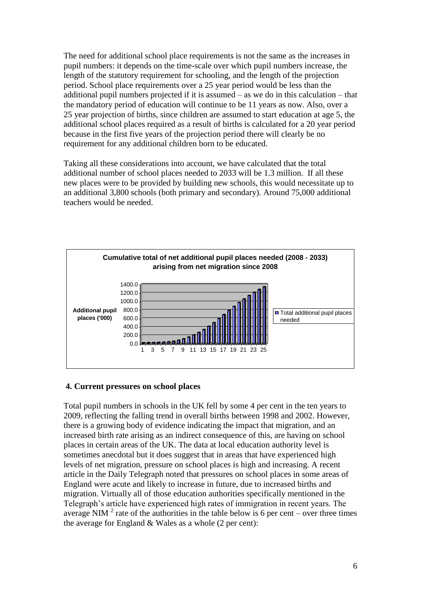The need for additional school place requirements is not the same as the increases in pupil numbers: it depends on the time-scale over which pupil numbers increase, the length of the statutory requirement for schooling, and the length of the projection period. School place requirements over a 25 year period would be less than the additional pupil numbers projected if it is assumed – as we do in this calculation – that the mandatory period of education will continue to be 11 years as now. Also, over a 25 year projection of births, since children are assumed to start education at age 5, the additional school places required as a result of births is calculated for a 20 year period because in the first five years of the projection period there will clearly be no requirement for any additional children born to be educated.

Taking all these considerations into account, we have calculated that the total additional number of school places needed to 2033 will be 1.3 million. If all these new places were to be provided by building new schools, this would necessitate up to an additional 3,800 schools (both primary and secondary). Around 75,000 additional teachers would be needed.



## **4. Current pressures on school places**

Total pupil numbers in schools in the UK fell by some 4 per cent in the ten years to 2009, reflecting the falling trend in overall births between 1998 and 2002. However, there is a growing body of evidence indicating the impact that migration, and an increased birth rate arising as an indirect consequence of this, are having on school places in certain areas of the UK. The data at local education authority level is sometimes anecdotal but it does suggest that in areas that have experienced high levels of net migration, pressure on school places is high and increasing. A recent article in the Daily Telegraph noted that pressures on school places in some areas of England were acute and likely to increase in future, due to increased births and migration. Virtually all of those education authorities specifically mentioned in the Telegraph"s article have experienced high rates of immigration in recent years. The average NIM<sup>2</sup> rate of the authorities in the table below is 6 per cent – over three times the average for England & Wales as a whole (2 per cent):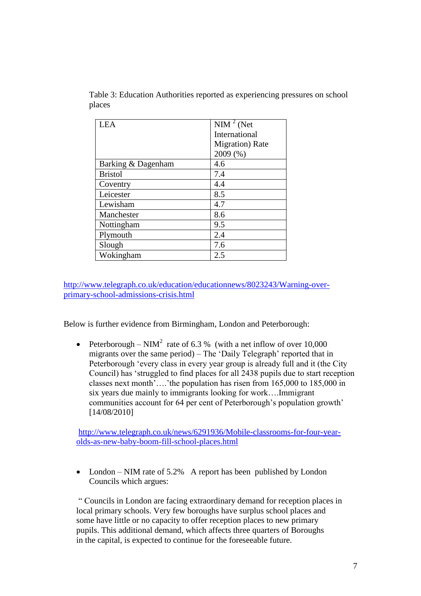| <b>LEA</b>         | $\overline{\text{NIM}^2}$ (Net |
|--------------------|--------------------------------|
|                    | International                  |
|                    | <b>Migration</b> ) Rate        |
|                    | 2009 (%)                       |
| Barking & Dagenham | 4.6                            |
| <b>Bristol</b>     | 7.4                            |
| Coventry           | 4.4                            |
| Leicester          | 8.5                            |
| Lewisham           | 4.7                            |
| Manchester         | 8.6                            |
| Nottingham         | 9.5                            |
| Plymouth           | 2.4                            |
| Slough             | 7.6                            |
| Wokingham          | 2.5                            |

Table 3: Education Authorities reported as experiencing pressures on school places

[http://www.telegraph.co.uk/education/educationnews/8023243/Warning-over](http://www.telegraph.co.uk/education/educationnews/8023243/Warning-over-primary-school-admissions-crisis.html)[primary-school-admissions-crisis.html](http://www.telegraph.co.uk/education/educationnews/8023243/Warning-over-primary-school-admissions-crisis.html)

Below is further evidence from Birmingham, London and Peterborough:

• Peterborough – NIM<sup>2</sup> rate of 6.3 % (with a net inflow of over 10,000 migrants over the same period) – The "Daily Telegraph" reported that in Peterborough "every class in every year group is already full and it (the City Council) has "struggled to find places for all 2438 pupils due to start reception classes next month"…."the population has risen from 165,000 to 185,000 in six years due mainly to immigrants looking for work….Immigrant communities account for 64 per cent of Peterborough's population growth' [14/08/2010]

[http://www.telegraph.co.uk/news/6291936/Mobile-classrooms-for-four-year](http://www.telegraph.co.uk/news/6291936/Mobile-classrooms-for-four-year-olds-as-new-baby-boom-fill-school-places.html)[olds-as-new-baby-boom-fill-school-places.html](http://www.telegraph.co.uk/news/6291936/Mobile-classrooms-for-four-year-olds-as-new-baby-boom-fill-school-places.html)

• London – NIM rate of 5.2% A report has been published by London Councils which argues:

" Councils in London are facing extraordinary demand for reception places in local primary schools. Very few boroughs have surplus school places and some have little or no capacity to offer reception places to new primary pupils. This additional demand, which affects three quarters of Boroughs in the capital, is expected to continue for the foreseeable future.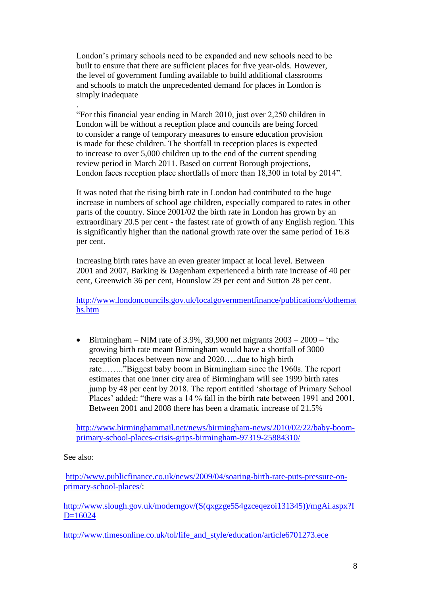London"s primary schools need to be expanded and new schools need to be built to ensure that there are sufficient places for five year-olds. However, the level of government funding available to build additional classrooms and schools to match the unprecedented demand for places in London is simply inadequate

. "For this financial year ending in March 2010, just over 2,250 children in London will be without a reception place and councils are being forced to consider a range of temporary measures to ensure education provision is made for these children. The shortfall in reception places is expected to increase to over 5,000 children up to the end of the current spending review period in March 2011. Based on current Borough projections, London faces reception place shortfalls of more than 18,300 in total by 2014".

It was noted that the rising birth rate in London had contributed to the huge increase in numbers of school age children, especially compared to rates in other parts of the country. Since 2001/02 the birth rate in London has grown by an extraordinary 20.5 per cent - the fastest rate of growth of any English region. This is significantly higher than the national growth rate over the same period of 16.8 per cent.

Increasing birth rates have an even greater impact at local level. Between 2001 and 2007, Barking & Dagenham experienced a birth rate increase of 40 per cent, Greenwich 36 per cent, Hounslow 29 per cent and Sutton 28 per cent.

[http://www.londoncouncils.gov.uk/localgovernmentfinance/publications/dothemat](http://www.londoncouncils.gov.uk/localgovernmentfinance/publications/dothemaths.htm) [hs.htm](http://www.londoncouncils.gov.uk/localgovernmentfinance/publications/dothemaths.htm)

Birmingham – NIM rate of 3.9%, 39,900 net migrants  $2003 - 2009$  – 'the growing birth rate meant Birmingham would have a shortfall of 3000 reception places between now and 2020…..due to high birth rate…….."Biggest baby boom in Birmingham since the 1960s. The report estimates that one inner city area of Birmingham will see 1999 birth rates jump by 48 per cent by 2018. The report entitled "shortage of Primary School Places' added: "there was a 14 % fall in the birth rate between 1991 and 2001. Between 2001 and 2008 there has been a dramatic increase of 21.5%

[http://www.birminghammail.net/news/birmingham-news/2010/02/22/baby-boom](http://www.birminghammail.net/news/birmingham-news/2010/02/22/baby-boom-primary-school-places-crisis-grips-birmingham-97319-25884310/)[primary-school-places-crisis-grips-birmingham-97319-25884310/](http://www.birminghammail.net/news/birmingham-news/2010/02/22/baby-boom-primary-school-places-crisis-grips-birmingham-97319-25884310/)

#### See also:

[http://www.publicfinance.co.uk/news/2009/04/soaring-birth-rate-puts-pressure-on](http://www.publicfinance.co.uk/news/2009/04/soaring-birth-rate-puts-pressure-on-primary-school-places/)[primary-school-places/:](http://www.publicfinance.co.uk/news/2009/04/soaring-birth-rate-puts-pressure-on-primary-school-places/)

[http://www.slough.gov.uk/moderngov/\(S\(qxgzge554gzceqezoi131345\)\)/mgAi.aspx?I](http://www.slough.gov.uk/moderngov/(S(qxgzge554gzceqezoi131345))/mgAi.aspx?ID=16024)  $D=16024$ 

[http://www.timesonline.co.uk/tol/life\\_and\\_style/education/article6701273.ece](http://www.timesonline.co.uk/tol/life_and_style/education/article6701273.ece)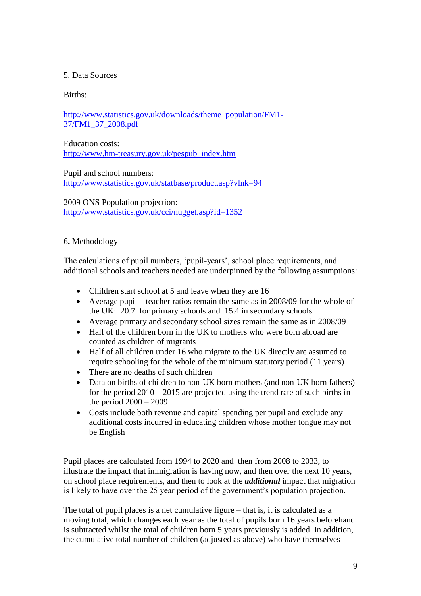# 5. Data Sources

# Births:

[http://www.statistics.gov.uk/downloads/theme\\_population/FM1-](http://www.statistics.gov.uk/downloads/theme_population/FM1-37/FM1_37_2008.pdf) [37/FM1\\_37\\_2008.pdf](http://www.statistics.gov.uk/downloads/theme_population/FM1-37/FM1_37_2008.pdf)

Education costs: [http://www.hm-treasury.gov.uk/pespub\\_index.htm](http://www.hm-treasury.gov.uk/pespub_index.htm)

Pupil and school numbers: <http://www.statistics.gov.uk/statbase/product.asp?vlnk=94>

2009 ONS Population projection: <http://www.statistics.gov.uk/cci/nugget.asp?id=1352>

## 6**.** Methodology

The calculations of pupil numbers, 'pupil-years', school place requirements, and additional schools and teachers needed are underpinned by the following assumptions:

- Children start school at 5 and leave when they are 16
- Average pupil teacher ratios remain the same as in 2008/09 for the whole of the UK: 20.7 for primary schools and 15.4 in secondary schools
- Average primary and secondary school sizes remain the same as in 2008/09
- Half of the children born in the UK to mothers who were born abroad are counted as children of migrants
- Half of all children under 16 who migrate to the UK directly are assumed to require schooling for the whole of the minimum statutory period (11 years)
- There are no deaths of such children
- Data on births of children to non-UK born mothers (and non-UK born fathers) for the period  $2010 - 2015$  are projected using the trend rate of such births in the period 2000 – 2009
- Costs include both revenue and capital spending per pupil and exclude any additional costs incurred in educating children whose mother tongue may not be English

Pupil places are calculated from 1994 to 2020 and then from 2008 to 2033, to illustrate the impact that immigration is having now, and then over the next 10 years, on school place requirements, and then to look at the *additional* impact that migration is likely to have over the 25 year period of the government's population projection.

The total of pupil places is a net cumulative figure – that is, it is calculated as a moving total, which changes each year as the total of pupils born 16 years beforehand is subtracted whilst the total of children born 5 years previously is added. In addition, the cumulative total number of children (adjusted as above) who have themselves